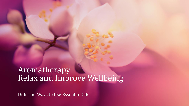Aromatherapy Relax and Improve Wellbeing

Different Ways to Use Essential Oils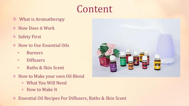# Content

- ❖ What is Aromatherapy
- ❖ How Does it Work
- ❖ Safety First
- ❖ How to Use Essential Oils
	- Burners
	- **<u>■ Diffusers</u>**
	- **Example 3 Baths & Skin Scent**
- ❖ How to Make your own Oil Blend
	- What You Will Need
	- How to Make It
- ❖ Essential Oil Recipes For Diffusers, Baths & Skin Scent

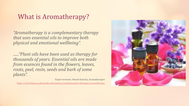### What is Aromatherapy?

*"Aromatherapy is a complementary therapy that uses essential oils to improve both physical and emotional wellbeing".*

*......"Plant oils have been used as therapy for thousands of years. Essential oils are made from essences found in the flowers, leaves, roots, peel, resin, seeds and bark of some plants".*

Expert reviewer, Dinesh Kotecha, Aromatherapist

<https://www.bupa.co.uk/health-information/complementary-therapies/aromatherapy>

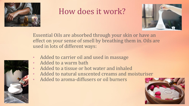

# How does it work?



Essential Oils are absorbed through your skin or have an effect on your sense of smell by breathing them in. Oils are used in lots of different ways:

- Added to carrier oil and used in massage
- Added to a warm bath
- Added to a tissue or hot water and inhaled
- Added to natural unscented creams and moisturiser
- Added to aroma-diffusers or oil burners



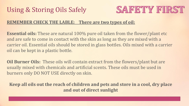# Using & Storing Oils Safely



#### **REMEMBER CHECK THE LABLE: There are two types of oil:**

**Essential oils:** These are natural 100% pure oil taken from the flower/plant etc and are safe to come in contact with the skin as long as they are mixed with a carrier oil. Essential oils should be stored in glass bottles. Oils mixed with a carrier oil can be kept in a plastic bottle.

**Oil Burner Oils:** These oils will contain extract from the flowers/plant but are usually mixed with chemicals and artificial scents. These oils must be used in burners only DO NOT USE directly on skin.

**Keep all oils out the reach of children and pets and store in a cool, dry place and out of direct sunlight**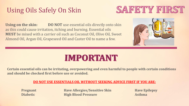## Using Oils Safely On Skin



**Using on the skin: DO NOT** use essential oils directly onto skin as this could cause irritation, itching and burning. Essential oils **MUST** be mixed with a carrier oil such as Coconut Oil, Olive Oil, Sweet Almond Oil, Argan Oil, Grapeseed Oil and Caster Oil to name a few.



# **IMPORTANT**

**Certain essential oils can be irritating, overpowering and even harmful to people with certain conditions and should be checked first before use or avoided.** 

#### **DO NOT USE ESSENTIALS OIL WITHOUT SEEKING ADVICE FIRST IF YOU ARE:**

**Pregnant Have Allergies/Sensitive Skin Have Epilepsy Diabetic High Blood Pressure Asthma**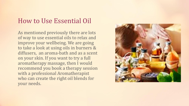#### How to Use Essential Oil

As mentioned previously there are lots of way to use essential oils to relax and improve your wellbeing. We are going to take a look at using oils in burners & diffusers, an aroma-bath and as a scent on your skin. If you want to try a full aromatherapy massage, then I would recommend you book a therapy session with a professional Aromatherapist who can create the right oil blends for your needs.

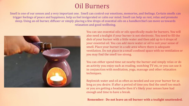### Oil Burners

Smell is one of our senses and a very important one. Smell can control our emotions, memories, and feelings. Certain smells can trigger feelings of peace and happiness, help us feel invigorated or calm our mind. Smell can help us rest, relax and promote sleep. Using an oil burner, diffuser or simply placing a few drops of essential oils on a handkerchief can move us towards relaxation and good wellbeing.



You can use essential oils or oils specifically made for burners. You will also need a tealight if your burner is not electronic. You need to fill the dish of your burner with a little water and then add up to 6 drops of your essential oil. You can add more water or oil to suit your sense of smell. Place your burner in a safe area where there is adequate ventilation. Do not place in a small confined space with no ventilation or you may find the smell too strong.

You can either spend time sat nearby the burner and simply relax or do an activity you enjoy such as reading, watching TV etc, or you can use it in conjunction with meditation, yoga, massage and other relaxation techniques.

Replenish water and oil as often as needed and use your burner for as long as you desire. If after a period of time you find the smell too much or you are getting a headache then it's likely your senses have had enough and time to have a break.

#### **Remember: Do not leave an oil burner with a tealight unattended.**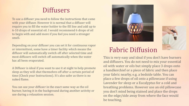#### **Diffusers**

To use a diffuser you need to follow the instructions that came with your diffuser. However it is normal that a diffuser will require you to fill the water holder to the fill line and add up to 6-10 drops of essential oil. I would recommend 6 drops of oil to begin with and add more if you feel you need a stronger smell.

Depending on your diffuser you can set it for continuous vapor or intermittent, some have a timer facility which means the diffuser will automatically switch off after selected time and most diffusers will switch off automatically when the water has all been evaporated.

A Diffuser is ideal if you want to use it at night to help promote sleep as they will shut themselves off after a certain period of time (Check your Instructions). It's also safer as there is no naked flame.

You can use your diffuser in the exact same way as the oil burner, having it in the background during another activity or use during a relaxation session.





### Fabric Diffusion

This is very easy and ideal if you don't have burners and diffusers. You do not need to mix your essential oil with water or oils but simply place 3 drops onto a handkerchief or a piece of fabric and then place your fabric nearby, e.g. a bedside table. You can place a few drops of oil onto a pillowcase if using Lavender for sleep or a Eucalyptus for a cold and breathing problems. However use an old pillowcase you don't mind being stained and place the drops on the edge/side away from where the face would be touching.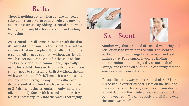#### Baths

There is nothing better when you are in need of relaxation than a warm bath to help you unwind and relieve stress. By adding essential oil to your bath you will amplify this relaxation and feeling of wellbeing.

As essential oil will come in contact with the skin it's advisable that you mix the essential oil with a carrier oil. Many people will actually just add the essential oil directly to a bath without carrier oil which is personal choice but for the sake of skin safety a carrier oil is recommended, especially if using for a child. However to add oils to a bath you simply need to run a full bath first without the oils with warm water. DO NOT make it too hot as oils will evaporate straight away. Then either add 6-8 drops essential oil blend (with carrier oil/diluted) or 3-6 drops if using essential oil only (no carrier oil/undiluted). Start with less and add more if you feel it's necessary. Mix into the water thoroughly.



### Skin Scent



Another way that essential oil can aid wellbeing and relaxation is to wear it on the skin. The scent of particular oils can change how we react and feel during a day. For example if you are finding concentration hard during a day a small dab of Orange and Lemon oil on the skin can invigorate the senses and aid concentration.

To use oils in this way, your essential oil MUST be mixed with a carrier oil so it's safe on the skin and does not irritate. Use only one drop of your desired oil and dab it on the inside of your wrists or just behind your ear. You can reapply the oil if and when the smell wears off.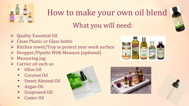

# How to make your own oil blend

## What you will need:

- ➢ Quality Essential Oil
- ➢ Clean Plastic or Glass bottle
- ➢ Kitchen towel/Tray to protect your work surface
- ➢ Dropper/Pipette With Measure (optional)
- $\triangleright$  Measuring jug
- ➢ Carrier oil such as:
	- **Olive Oil**
	- **Coconut Oil**
	- **Sweet Almond Oil**
	- **Argan Oil**
	- Grapeseed Oil
	- **Caster Oil**





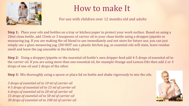

# How to make It

For use with children over 12 months old and adults

**Step 1:** Place your oils and bottles on a tray or kitchen paper to protect your work surface. Based on using a 20ml clean bottle, add 15mls or 3 teaspoons of carrier oil to your clean bottle using a dropper/pipette or measuring jug. If you are making the oil blend to use immediately and not store for future use, you can just simply use a glass measuring jug. (DO NOT use a plastic kitchen jug, as essential oils will stain, leave residue smell and leave the jug unusable in the kitchen)

**Step 2:** Using a dropper/pipette or the essential oil bottle's own dripper feed add 4-5 drops of essential oil to the carrier oil. If you are using more than one essential oil, for example Orange and Lemon Oils then add 2 or 3 drops of one oil and 2 drops of the other.

**Step 3:** Mix thoroughly using a spoon or place lid on bottle and shake vigorously to mix the oils.

*3 drops of essential oil to 10 ml of carrier oil 4-5 drops of essential oil to 15 ml of carrier oil 6 drops of essential oil to 20 ml of carrier oil 15 drops of essential oil to 50 ml of carrier oil 30 drops of essential oil to 100 ml of carrier oil*